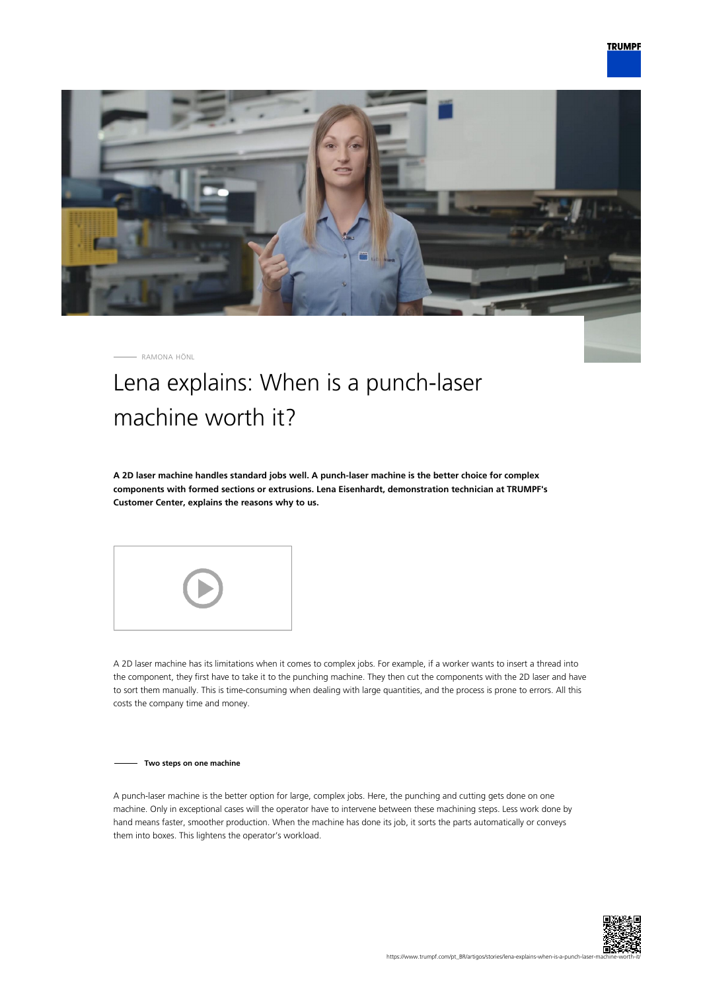

RAMONA HÖNL

## Lena explains: When is a punch-laser machine worth it?

**A 2D laser machine handles standard jobs well. A punch-laser machine is the better choice for complex components with formed sections or extrusions. Lena Eisenhardt, demonstration technician at TRUMPF's Customer Center, explains the reasons why to us.**



A 2D laser machine has its limitations when it comes to complex jobs. For example, if a worker wants to insert a thread into the component, they first have to take it to the punching machine. They then cut the components with the 2D laser and have to sort them manually. This is time-consuming when dealing with large quantities, and the process is prone to errors. All this costs the company time and money.

**Two steps on one machine**

A punch-laser machine is the better option for large, complex jobs. Here, the punching and cutting gets done on one machine. Only in exceptional cases will the operator have to intervene between these machining steps. Less work done by hand means faster, smoother production. When the machine has done its job, it sorts the parts automatically or conveys them into boxes. This lightens the operator's workload.